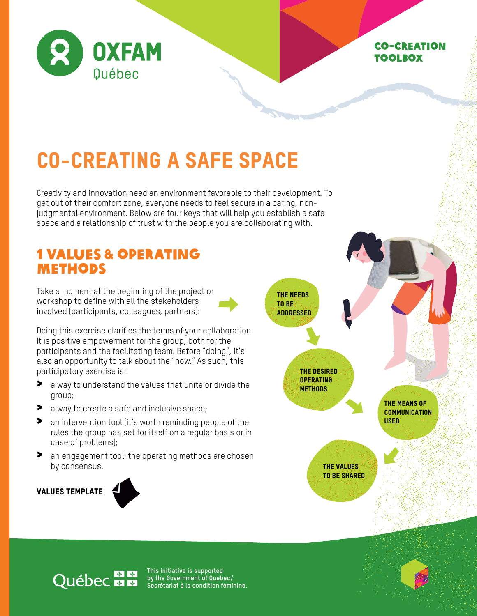

### Co-creation toolbox

# CO-CREATING A SAFE SPACE

Creativity and innovation need an environment favorable to their development. To get out of their comfort zone, everyone needs to feel secure in a caring, nonjudgmental environment. Below are four keys that will help you establish a safe space and a relationship of trust with the people you are collaborating with.

### 1 VALUES & OPERATING METHODS

Take a moment at the beginning of the project or workshop to define with all the stakeholders involved (participants, colleagues, partners):

Doing this exercise clarifies the terms of your collaboration. It is positive empowerment for the group, both for the participants and the facilitating team. Before "doing", it's also an opportunity to talk about the "how." As such, this participatory exercise is:

- > a way to understand the values that unite or divide the group;
- ◆ a way to create a safe and inclusive space;
- > an intervention tool (it's worth reminding people of the rules the group has set for itself on a regular basis or in case of problems);
- > an engagement tool: the operating methods are chosen by consensus.

Values Template





## **Québec manu**

**This initiative is supported by the Government of Quebec/ Secrétariat à la condition féminine.**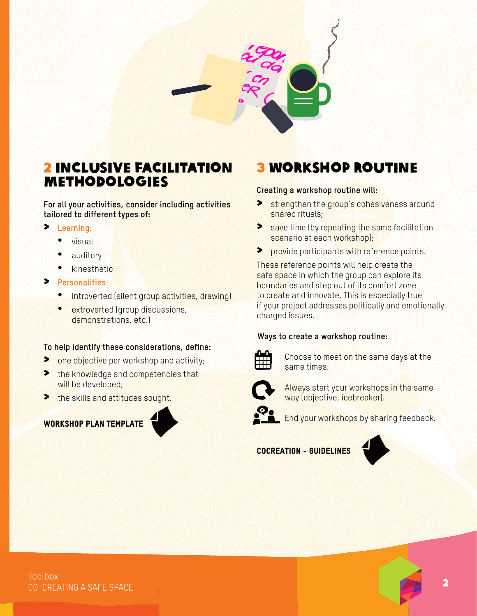

### 2 INCLUSIVE FACILITATION METHODOLOGIES

**For all your activities, consider including activities tailored to different types of:** 

- > **Learning**:
	- visual
	- auditory
	- kinesthetic
- > **Personalities**:
	- introverted (silent group activities, drawing)
	- extroverted (group discussions, demonstrations, etc.)

#### **To help identify these considerations, define:**

- **>** one objective per workshop and activity;
- > the knowledge and competencies that will be developed;
- > the skills and attitudes sought.

### Workshop Plan Template



### 3 WORKSHOP ROUTINE

#### **Creating a workshop routine will:**

- Strengthen the group's cohesiveness around shared rituals;
- Solve time (by repeating the same facilitation scenario at each workshop);
- **>** provide participants with reference points.

These reference points will help create the safe space in which the group can explore its boundaries and step out of its comfort zone to create and innovate. This is especially true if your project addresses politically and emotionally charged issues.

#### **Ways to create a workshop routine:**



Choose to meet on the same days at the same times.



Always start your workshops in the same way (objective, icebreaker).



End your workshops by sharing feedback.

#### Cocreation - Guidelines